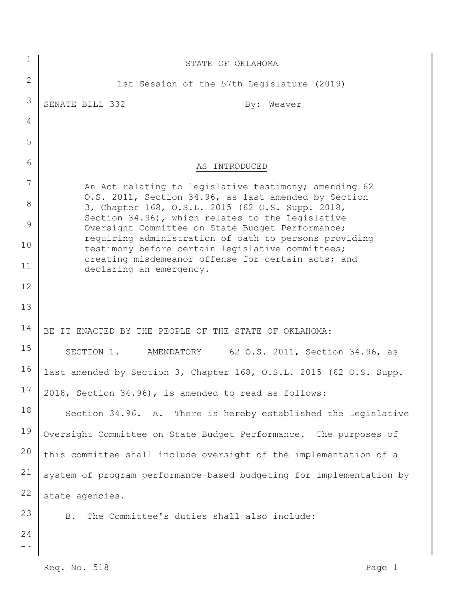| 1                             | STATE OF OKLAHOMA                                                                                                                                            |
|-------------------------------|--------------------------------------------------------------------------------------------------------------------------------------------------------------|
| $\mathbf{2}$                  | 1st Session of the 57th Legislature (2019)                                                                                                                   |
| 3                             | SENATE BILL 332<br>By: Weaver                                                                                                                                |
| 4                             |                                                                                                                                                              |
| 5                             |                                                                                                                                                              |
| 6                             | AS INTRODUCED                                                                                                                                                |
| 7                             | An Act relating to legislative testimony; amending 62                                                                                                        |
| 8                             | O.S. 2011, Section 34.96, as last amended by Section<br>3, Chapter 168, O.S.L. 2015 (62 O.S. Supp. 2018,<br>Section 34.96), which relates to the Legislative |
| 9                             | Oversight Committee on State Budget Performance;<br>requiring administration of oath to persons providing                                                    |
| 10                            | testimony before certain legislative committees;                                                                                                             |
| 11                            | creating misdemeanor offense for certain acts; and<br>declaring an emergency.                                                                                |
| 12                            |                                                                                                                                                              |
| 13                            |                                                                                                                                                              |
| 14                            | BE IT ENACTED BY THE PEOPLE OF THE STATE OF OKLAHOMA:                                                                                                        |
| 15                            | 62 O.S. 2011, Section 34.96, as<br>SECTION 1. AMENDATORY                                                                                                     |
| 16                            | last amended by Section 3, Chapter 168, O.S.L. 2015 (62 O.S. Supp.                                                                                           |
| 17                            | 2018, Section 34.96), is amended to read as follows:                                                                                                         |
| 18                            | Section 34.96. A. There is hereby established the Legislative                                                                                                |
| 19                            | Oversight Committee on State Budget Performance. The purposes of                                                                                             |
| 20                            | this committee shall include oversight of the implementation of a                                                                                            |
| 21                            | system of program performance-based budgeting for implementation by                                                                                          |
| 22                            | state agencies.                                                                                                                                              |
| 23                            | The Committee's duties shall also include:<br><b>B</b> .                                                                                                     |
| 24<br>$\mathbb L$ $\mathbb L$ |                                                                                                                                                              |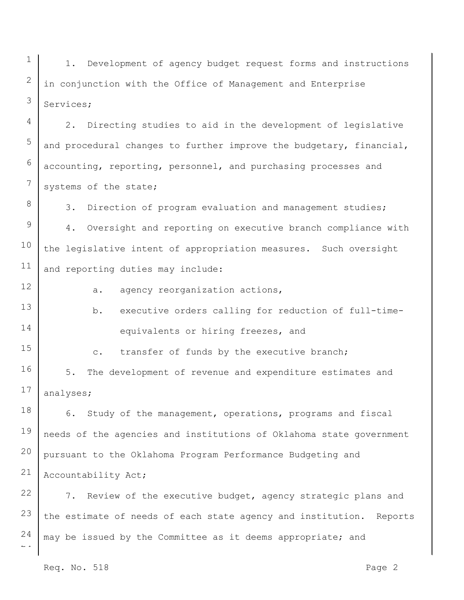1 2 3 1. Development of agency budget request forms and instructions in conjunction with the Office of Management and Enterprise Services;

2. Directing studies to aid in the development of legislative and procedural changes to further improve the budgetary, financial, accounting, reporting, personnel, and purchasing processes and systems of the state;

3. Direction of program evaluation and management studies;

9 10 11 4. Oversight and reporting on executive branch compliance with the legislative intent of appropriation measures. Such oversight and reporting duties may include:

12

15

4

5

6

7

8

 $\overline{2}$ 

a. agency reorganization actions,

13 14 b. executive orders calling for reduction of full-timeequivalents or hiring freezes, and

c. transfer of funds by the executive branch;

16 17 5. The development of revenue and expenditure estimates and analyses;

18 19 20 21 6. Study of the management, operations, programs and fiscal needs of the agencies and institutions of Oklahoma state government pursuant to the Oklahoma Program Performance Budgeting and Accountability Act;

22 23 24 7. Review of the executive budget, agency strategic plans and the estimate of needs of each state agency and institution. Reports may be issued by the Committee as it deems appropriate; and

Req. No. 518 Page 2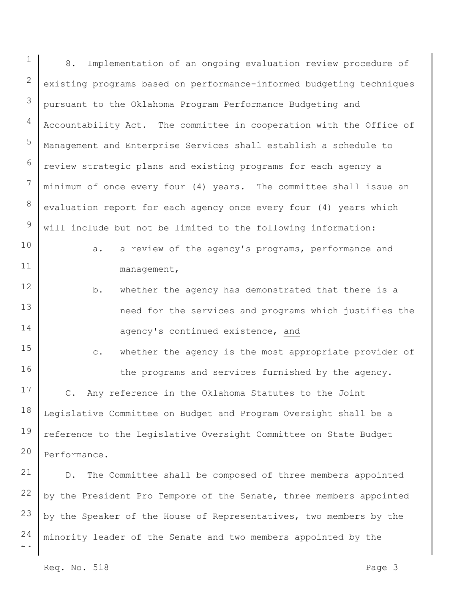$\overline{a}$ 1 2 3 4 5 6 7 8 9 10 11 12 13 14 15 16 17 18 19 20 21 22 23 24 8. Implementation of an ongoing evaluation review procedure of existing programs based on performance-informed budgeting techniques pursuant to the Oklahoma Program Performance Budgeting and Accountability Act. The committee in cooperation with the Office of Management and Enterprise Services shall establish a schedule to review strategic plans and existing programs for each agency a minimum of once every four (4) years. The committee shall issue an evaluation report for each agency once every four (4) years which will include but not be limited to the following information: a. a review of the agency's programs, performance and management, b. whether the agency has demonstrated that there is a need for the services and programs which justifies the agency's continued existence, and c. whether the agency is the most appropriate provider of the programs and services furnished by the agency. C. Any reference in the Oklahoma Statutes to the Joint Legislative Committee on Budget and Program Oversight shall be a reference to the Legislative Oversight Committee on State Budget Performance. D. The Committee shall be composed of three members appointed by the President Pro Tempore of the Senate, three members appointed by the Speaker of the House of Representatives, two members by the minority leader of the Senate and two members appointed by the

Req. No. 518 Page 3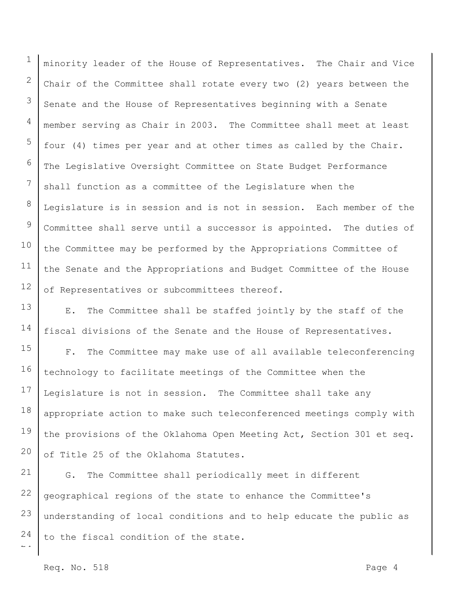1 2 3 4 5 6 7 8 9 10 11 12 minority leader of the House of Representatives. The Chair and Vice Chair of the Committee shall rotate every two (2) years between the Senate and the House of Representatives beginning with a Senate member serving as Chair in 2003. The Committee shall meet at least four (4) times per year and at other times as called by the Chair. The Legislative Oversight Committee on State Budget Performance shall function as a committee of the Legislature when the Legislature is in session and is not in session. Each member of the Committee shall serve until a successor is appointed. The duties of the Committee may be performed by the Appropriations Committee of the Senate and the Appropriations and Budget Committee of the House of Representatives or subcommittees thereof.

13 14 E. The Committee shall be staffed jointly by the staff of the fiscal divisions of the Senate and the House of Representatives.

15 16 17 18 19 20 F. The Committee may make use of all available teleconferencing technology to facilitate meetings of the Committee when the Legislature is not in session. The Committee shall take any appropriate action to make such teleconferenced meetings comply with the provisions of the Oklahoma Open Meeting Act, Section 301 et seq. of Title 25 of the Oklahoma Statutes.

 $\overline{a}$ 21 22 23 24 G. The Committee shall periodically meet in different geographical regions of the state to enhance the Committee's understanding of local conditions and to help educate the public as to the fiscal condition of the state.

Req. No. 518 Page 4